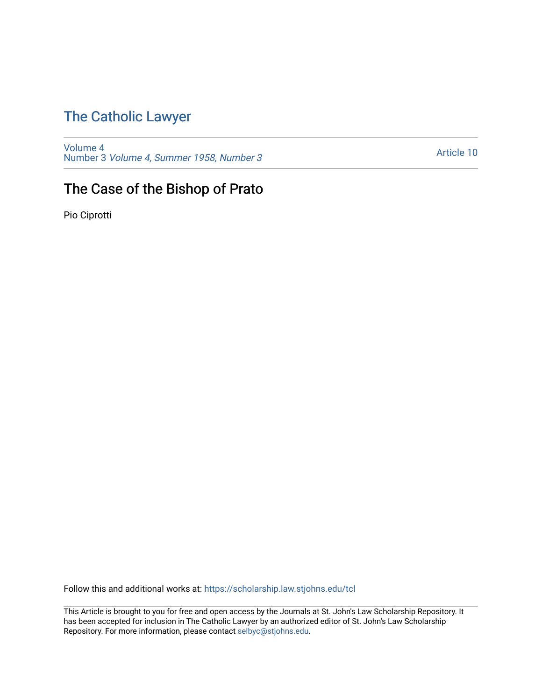# [The Catholic Lawyer](https://scholarship.law.stjohns.edu/tcl)

[Volume 4](https://scholarship.law.stjohns.edu/tcl/vol4) Number 3 [Volume 4, Summer 1958, Number 3](https://scholarship.law.stjohns.edu/tcl/vol4/iss3) 

[Article 10](https://scholarship.law.stjohns.edu/tcl/vol4/iss3/10) 

# The Case of the Bishop of Prato

Pio Ciprotti

Follow this and additional works at: [https://scholarship.law.stjohns.edu/tcl](https://scholarship.law.stjohns.edu/tcl?utm_source=scholarship.law.stjohns.edu%2Ftcl%2Fvol4%2Fiss3%2F10&utm_medium=PDF&utm_campaign=PDFCoverPages) 

This Article is brought to you for free and open access by the Journals at St. John's Law Scholarship Repository. It has been accepted for inclusion in The Catholic Lawyer by an authorized editor of St. John's Law Scholarship Repository. For more information, please contact [selbyc@stjohns.edu.](mailto:selbyc@stjohns.edu)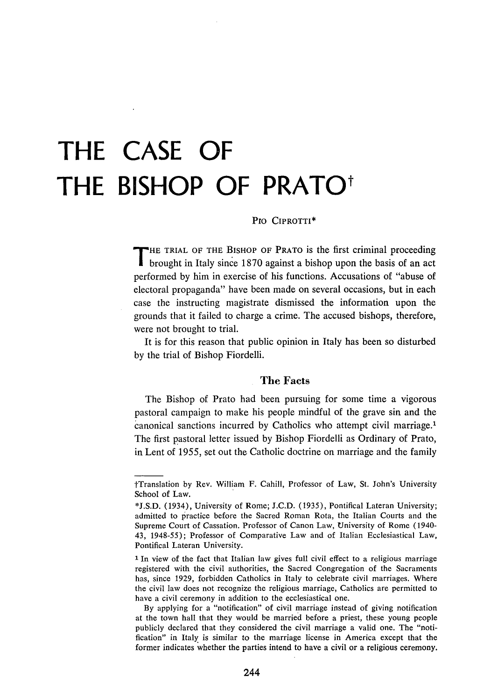# **THE CASE OF** THE BISHOP OF PRATO<sup>\*</sup>

#### **Pro** CIPROTTI\*

**T** HE TRIAL OF THE BISHOP OF PRATO is the first criminal proceeding **brought in Italy since 1870 against a bishop upon the basis of an act** performed by him in exercise of his functions. Accusations of "abuse of electoral propaganda" have been made on several occasions, but in each case the instructing magistrate dismissed the information upon the grounds that it failed to charge a crime. The accused bishops, therefore, were not brought to trial.

It is for this reason that public opinion in Italy has been so disturbed by the trial of Bishop Fiordelli.

## **The Facts**

The Bishop of Prato had been pursuing for some time a vigorous pastoral campaign to make his people mindful of the grave sin and the canonical sanctions incurred by Catholics who attempt civil marriage.' The first pastoral letter issued by Bishop Fiordelli as Ordinary of Prato, in Lent of 1955, set out the Catholic doctrine on marriage and the family

tTranslation by Rev. William F. Cahill, Professor of Law, St. John's University School of Law.

<sup>\*</sup>J.S.D. (1934), University of Rome; J.C.D. (1935), Pontifical Lateran University; admitted to practice before the Sacred Roman Rota, the Italian Courts and the Supreme Court of Cassation. Professor of Canon Law, University of Rome (1940- 43, 1948-55); Professor of Comparative Law and of Italian Ecclesiastical Law, Pontifical Lateran University.

**<sup>1</sup>** In view of the fact that Italian law gives full civil effect to a religious marriage registered with the civil authorities, the Sacred Congregation of the Sacraments has, since 1929, forbidden Catholics in Italy to celebrate civil marriages. Where the civil law does not recognize the religious marriage, Catholics are permitted to have a civil ceremony in addition to the ecclesiastical one.

By applying for a "notification" of civil marriage instead of giving notification at the town hall that they would be married before a priest, these young people publicly declared that they considered the civil marriage a valid one. The "notification" in Italy is similar to the marriage license in America except that the former indicates whether the parties intend to have a civil or a religious ceremony.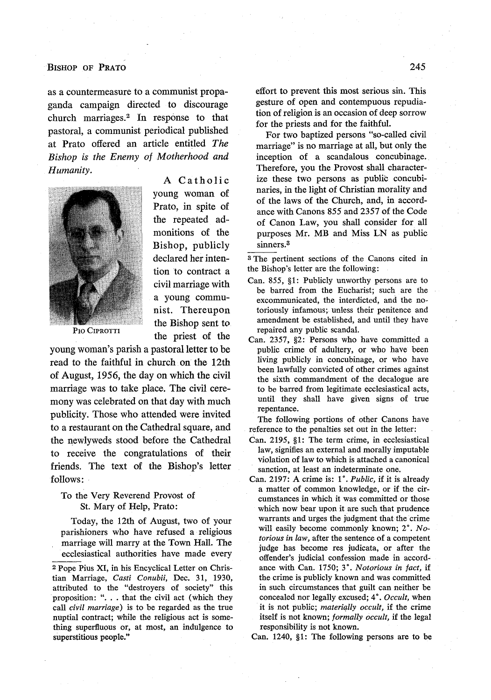#### BISHOP **OF PRATO**

as a countermeasure to a communist propaganda campaign directed to discourage church marriages.<sup>2</sup> In response to that pastoral, a communist periodical published at Prato offered an article entitled *The Bishop is the Enemy of Motherhood and Humanity.* A Catholic



young woman of Prato, in spite of the repeated admonitions of the Bishop, publicly declared her intention to contract a civil marriage with a young communist. Thereupon the Bishop sent to PIO CIPROTTI<br>the priest of the

young woman's parish a pastoral letter to be read to the faithful in church on the 12th of August, 1956, the day on which the civil marriage was to take place. The civil ceremony was celebrated on that day with much publicity. Those who attended were invited to a restaurant on the Cathedral square, and the newlyweds stood before the Cathedral to receive the congratulations of their friends. The text of the Bishop's letter follows:

#### To the Very Reverend Provost of St. Mary of Help, Prato:

Today, the 12th of August, two of your parishioners who have refused a religious marriage will marry at the Town Hall. The ecclesiastical authorities have made every

**2** Pope Pius XI, in his Encyclical Letter on Christian Marriage, *Casti Conubii,* Dec. 31, 1930, attributed to the "destroyers of society" this proposition: ". **.** . that the civil act (which they call *civil marriage)* is to be regarded as the true nuptial contract; while the religious act is something superfluous or, at most, an indulgence to superstitious people."

effort to prevent this most serious sin. This gesture of open and contempuous repudiation of religion is an occasion of deep sorrow for the priests and for the faithful.

For two baptized persons "so-called civil marriage" is no marriage at all, but only the inception of a scandalous concubinage. Therefore, you the Provost shall characterize these two persons as public concubinaries, in the light of Christian morality and of the laws of the Church, and, in accordance with Canons 855 and 2357 of the Code of Canon Law, you shall consider for all purposes Mr. MB and Miss LN as public sinners.3

a The pertinent sections of the Canons cited in the Bishop's letter are the following:

- Can. 855, §1: Publicly unworthy persons are to be barred from the Eucharist; such are the excommunicated, the interdicted, and the notoriously infamous; unless their penitence and amendment be established, and until they have repaired any public scandal.
- Can. 2357, §2: Persons who have committed a public crime of adultery, or who have been living publicly in concubinage, or who have been lawfully convicted of other crimes against the sixth commandment of the decalogue are to be barred from legitimate ecclesiastical acts, until they shall have given signs of true repentance.

The following portions of other Canons have reference to the penalties set out in the letter:

- Can. 2195, §1: The term crime, in ecclesiastical law, signifies an external and morally imputable violation of law to which is attached a canonical sanction, at least an indeterminate one.
- Can. 2197: A crime is: 1°. *Public*, if it is already a matter of common knowledge, or if the circumstances in which it was committed or those which now bear upon it are such that prudence warrants and urges the judgment that the crime will easily become commonly known; 2°. No*torious in law,* after the sentence of a competent judge has become res judicata, or after the offender's judicial confession made in accordance with Can. 1750; **3.** *Notorious in fact,* if the crime is publicly known and was committed in such circumstances that guilt can neither be concealed nor legally excused; 4. *Occult,* when it is not public; *materially occult,* if the crime itself is not known; *formally occult,* if the legal responsibility is not known.

Can. 1240, §1: The following persons are to be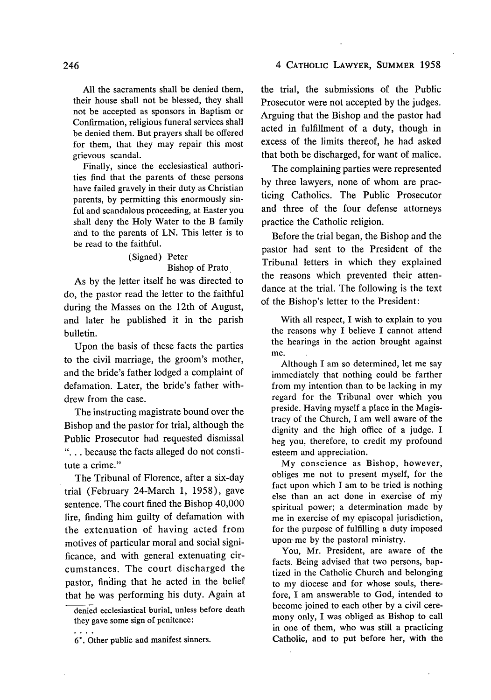**All** the sacraments shall be denied them, their house shall not be blessed, they shall not be accepted as sponsors in Baptism or Confirmation, religious funeral services shall be denied them. But prayers shall be offered for them, that they may repair this most grievous scandal.

Finally, since the ecclesiastical authorities find that the parents of these persons have failed gravely in their duty as Christian parents, **by** permitting this enormously sinful and scandalous proceeding, at Easter you shall deny the Holy Water to the B family and to the parents of **LN.** This letter is to be read to the faithful.

#### (Signed) Peter Bishop of Prato

As **by** the letter itself **he** was directed to do, the pastor read the letter to the faithful during the Masses on the 12th of August, and later he published it in the parish bulletin.

Upon the basis of these facts the parties to the civil marriage, the groom's mother, and the bride's father lodged a complaint of defamation. Later, the bride's father withdrew from the case.

The instructing magistrate bound over the Bishop and the pastor for trial, although the Public Prosecutor **had** requested dismissal **"...** because the facts alleged do not constitute a crime."

The Tribunal of Florence, after a six-day trial (February 24-March **1, 1958),** gave sentence. The court fined the Bishop 40,000 lire, finding him guilty of defamation with the extenuation of having acted from motives of particular moral and social significance, and with general extenuating circumstances. The court discharged the pastor, finding that he acted in the belief that he was performing his duty. Again at the trial, the submissions of the Public Prosecutor were not accepted by the judges. Arguing that the Bishop and the pastor had acted in fulfillment of a duty, though in excess of the limits thereof, he had asked that both be discharged, for want of malice.

The complaining parties were represented by three lawyers, none of whom are practicing Catholics. The Public Prosecutor and three of the four defense attorneys practice the Catholic religion.

Before the trial began, the Bishop and the pastor had sent to the President of the Tribunal letters in which they explained the reasons which prevented their attendance at the trial. The following is the text of the Bishop's letter to the President:

With all respect, I wish to explain to you the reasons why I believe I cannot attend the hearings in the action brought against me.

Although I am so determined, let me say immediately that nothing could be farther from my intention than to be lacking in my regard for the Tribunal over which you preside. Having myself a place in the Magistracy of the Church, I am well aware of the dignity and the high office of a judge. I beg you, therefore, to credit my profound esteem and appreciation.

My conscience as Bishop, however, obliges me not to present myself, for the fact upon which I am to be tried is nothing else than an act done in exercise of my spiritual power; a determination made **by** me in exercise of my episcopal jurisdiction, for the purpose of fulfilling a duty imposed upon-me **by** the pastoral ministry.

You, Mr. President, are aware of the facts. Being advised that two persons, baptized in the Catholic Church and belonging to my diocese and for whose souls, therefore, I am answerable to God, intended to become joined to each other **by** a civil ceremony only, I was obliged as Bishop to call in one of them, who was still a practicing Catholic, and to put before her, with the

denied ecclesiastical burial, unless before death they gave some sign of penitence:

**<sup>6.</sup>** Other public and manifest sinners.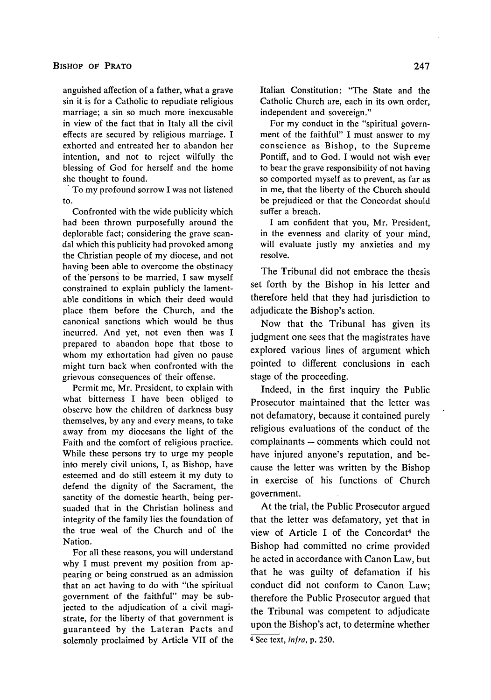anguished affection of a father, what a grave sin it is for a Catholic to repudiate religious marriage; a sin so much more inexcusable in view of the fact that in Italy all the civil effects are secured by religious marriage. I exhorted and entreated her to abandon her intention, and not to reject wilfully the blessing of God for herself and the home she thought to found.

To my profound sorrow I was not listened to.

Confronted with the wide publicity which had been thrown purposefully around the deplorable fact; considering the grave scandal which this publicity had provoked among the Christian people of my diocese, and not having been able to overcome the obstinacy of the persons to be married, I saw myself constrained to explain publicly the lamentable conditions in which their deed would place them before the Church, and the canonical sanctions which would be thus incurred. And yet, not even then was I prepared to abandon hope that those to whom my exhortation had given no pause might turn back when confronted with the grievous consequences of their offense.

Permit me, Mr. President, to explain with what bitterness I have been obliged to observe how the children of darkness busy themselves, by any and every means, to take away from my diocesans the light of the Faith and the comfort of religious practice. While these persons try to urge my people into merely civil unions, I, as Bishop, have esteemed and do still esteem it my duty to defend the dignity of the Sacrament, the sanctity of the domestic hearth, being persuaded that in the Christian holiness and integrity of the family lies the foundation of the true weal of the Church and of the Nation.

For all these reasons, you will understand why I must prevent my position from appearing or being construed as an admission that an act having to do with "the spiritual government of the faithful" may be subjected to the adjudication of a civil magistrate, for the liberty of that government is guaranteed by the Lateran Pacts and solemnly proclaimed by Article VII of the Italian Constitution: "The State and the Catholic Church are, each in its own order, independent and sovereign."

For my conduct in the "spiritual government of the faithful" I must answer to my conscience as Bishop, to the Supreme Pontiff, and to God. I would not wish ever to bear the grave responsibility of not having so comported myself as to prevent, as far as in me, that the liberty of the Church should be prejudiced or that the Concordat should suffer a breach.

I am confident that you, Mr. President, in the evenness and clarity of your mind, will evaluate justly my anxieties and my resolve.

The Tribunal did not embrace the thesis set forth by the Bishop in his letter and therefore held that they had jurisdiction to adjudicate the Bishop's action.

Now that the Tribunal has given its judgment one sees that the magistrates have explored various lines of argument which pointed to different conclusions in each stage of the proceeding.

Indeed, in the first inquiry the Public Prosecutor maintained that the letter was not defamatory, because it contained purely religious evaluations of the conduct of the complainants **-** comments which could not have injured anyone's reputation, and because the letter was written by the Bishop in exercise of his functions of Church government.

At the trial, the Public Prosecutor argued that the letter was defamatory, yet that in view of Article I of the Concordat<sup>4</sup> the Bishop had committed no crime provided he acted in accordance with Canon Law, but that he was guilty of defamation if his conduct did not conform to Canon Law; therefore the Public Prosecutor argued that the Tribunal was competent to adjudicate upon the Bishop's act, to determine whether

<sup>4</sup> See text, *infra,* p. 250.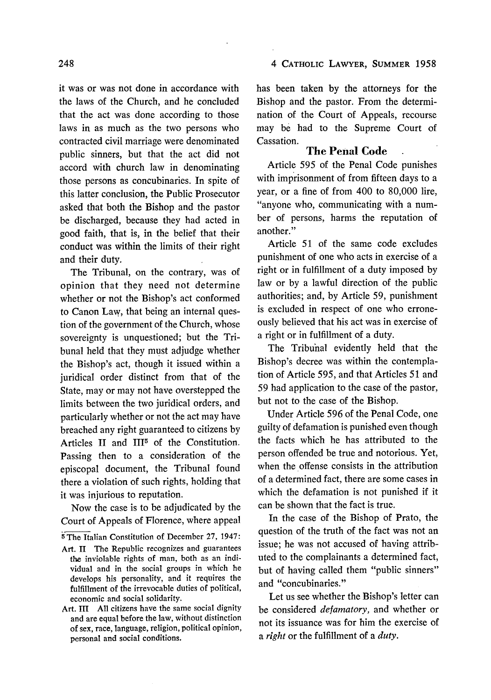#### 4 CATHOLIC LAWYER, SUMMER **1958**

it was or was not done in accordance with the laws of the Church, and he concluded that the act was done according to those laws in as much as the two persons who contracted civil marriage were denominated public sinners, but that the act did not accord with church law in denominating those persons as concubinaries. In spite of this latter conclusion, the Public Prosecutor asked that both the Bishop and the pastor be discharged, because they had acted in good faith, that is, in the belief that their conduct was within the limits of their right and their duty.

The Tribunal, on the contrary, was of opinion that they need not determine whether or not the Bishop's act conformed to Canon Law, that being an internal question of the government of the Church, whose sovereignty is unquestioned; but the Tribunal held that they must adjudge whether the Bishop's act, though it issued within a juridical order distinct from that of the State, may or may not have overstepped the limits between the two juridical orders, and particularly whether or not the act may have breached any right guaranteed to citizens by Articles II and III<sup>5</sup> of the Constitution. Passing then to a consideration of the episcopal document, the Tribunal found there a violation of such rights, holding that it was injurious to reputation.

Now the case is to be adjudicated by the Court of Appeals of Florence, where appeal

5 The Italian Constitution of December 27, 1947:

- Art. **11** The Republic recognizes and guarantees the inviolable rights of man, both as an individual and in the social groups in which he develops his personality, and it requires the fulfillment of the irrevocable duties of political, economic and social solidarity.
- Art. III All citizens have the same social dignity and are equal before the law, without distinction of sex, race, language, religion, political opinion, personal and social conditions.

has been taken by the attorneys for the Bishop and the pastor. From the determination of the Court of Appeals, recourse may be had to the Supreme Court of Cassation.

### The Penal Code

Article 595 of the Penal Code punishes with imprisonment of from fifteen days to a year, or a fine of from 400 to 80,000 lire, "anyone who, communicating with a number of persons, harms the reputation of another."

Article 51 of the same code excludes punishment of one who acts in exercise of a right or in fulfillment of a duty imposed by law or by a lawful direction of the public authorities; and, by Article 59, punishment is excluded in respect of one who erroneously believed that his act was in exercise of a right or in fulfillment of a duty.

The Tribuhal evidently held that the Bishop's decree was within the contemplation of Article 595, and that Articles 51 and 59 had application to the case of the pastor, but not to the case of the Bishop.

Under Article 596 of the Penal Code, one guilty of defamation is punished even though the facts which he has attributed to the person offended be true and notorious. Yet, when the offense consists in the attribution of a determined fact, there are some cases in which the defamation is not punished if it can be shown that the fact is true.

In the case of the Bishop of Prato, the question of the truth of the fact was not an issue; he was not accused of having attributed to the complainants a determined fact, but of having called them "public sinners" and "concubinaries."

Let us see whether the Bishop's letter can be considered *defamatory,* and whether or not its issuance was for him the exercise of *a right* or the fulfillment of a *duty.*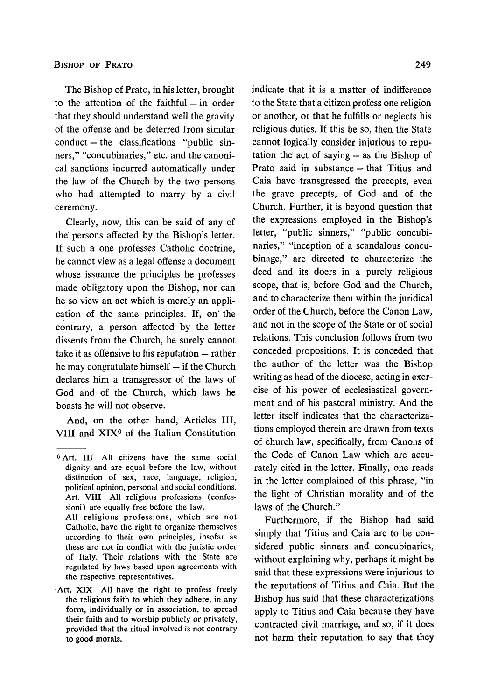The Bishop of Prato, in his letter, brought to the attention of the faithful  $-$  in order that they should understand well the gravity of the offense and be deterred from similar conduct **-** the classifications "public sinners," "concubinaries," etc. and the canonical sanctions incurred automatically under the law of the Church by the two persons who had attempted to marry by a civil ceremony.

Clearly, now, this can be said of any of the' persons affected by the Bishop's letter. If such a one professes Catholic doctrine, he cannot view as a legal offense a document whose issuance the principles he professes made obligatory upon the Bishop, nor can he so view an act which is merely an application of the same principles. If, *on'* the contrary, a person affected by the letter dissents from the Church, he surely cannot take it as offensive to his reputation **-** rather he may congratulate himself **-** if the Church declares him a transgressor of the laws of God and of the Church, which laws he boasts he will not observe.

And, on the other hand, Articles III, VIII and XIX<sup>6</sup> of the Italian Constitution

All religious professions, which are not Catholic, have the right to organize themselves according to their own principles, insofar as these are not in conflict with the juristic order of Italy. Their relations with the State are regulated **by** laws based upon agreements with the respective representatives.

indicate that it is a matter of indifference to the State that a citizen profess one religion or another, or that he fulfills or neglects his religious duties. If this be so, then the State cannot logically consider injurious to reputation the act of saying  $-$  as the Bishop of Prato said in substance  $-$  that Titius and Caia have transgressed the precepts, even the grave precepts, of God and of the Church. Further, it is beyond question that the expressions employed in the Bishop's letter, "public sinners," "public concubinaries," "inception of a scandalous concubinage," are directed to characterize the deed and its doers in a purely religious scope, that is, before God and the Church, and to characterize them within the juridical order of the Church, before the Canon Law, and not in the scope of the State or of social relations. This conclusion follows from two conceded propositions. It is conceded that the author of the letter was the Bishop writing as head of the diocese, acting in exercise of his power of ecclesiastical government and of his pastoral ministry. And the letter itself indicates that the characterizations employed therein are drawn from texts of church law, specifically, from Canons of the Code of Canon Law which are accurately cited in the letter. Finally, one reads in the letter complained of this phrase, "in the light of Christian morality and of the laws of the Church."

Furthermore, if the Bishop had said simply that Titius and Caia are to be considered public sinners and concubinaries, without explaining why, perhaps it might be said that these expressions were injurious to the reputations of Titius and Caia. But the Bishop has said that these characterizations apply to Titius and Caia because they have contracted civil marriage, and so, if it does not harm their reputation to say that they

**<sup>6</sup>** Art. III **All** citizens have the same social dignity and are equal before the law, without distinction of sex, race, language, religion, political opinion, personal and social conditions. Art. VIII **All** religious professions (confessioni) are equally free before the law.

Art. XIX All have the right to profess freely the religious faith to which they adhere, in any form, individually or in association, to spread their faith and to worship publicly or privately, provided that the ritual involved is not contrary to good morals.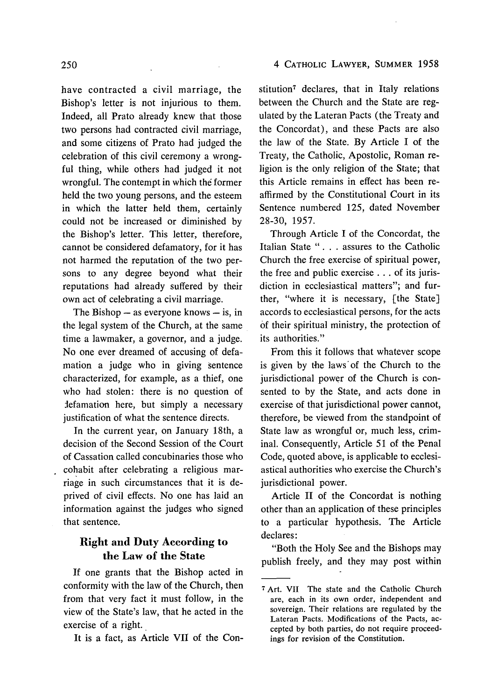#### 4 CATHOLIC LAWYER, SUMMER 1958

have contracted a civil marriage, the Bishop's letter is not injurious to them. Indeed, all Prato already knew that those two persons had contracted civil marriage, and some citizens of Prato had judged the celebration of this civil ceremony a wrongful thing, while others had judged it not wrongful. The contempt in which the former held the two young persons, and the esteem in which the latter held them, certainly could not be increased or diminished by the Bishop's letter. This letter, therefore, cannot be considered defamatory, for it has not harmed the reputation of the two persons to any degree beyond what their reputations had already suffered by their own act of celebrating a civil marriage.

The Bishop **-** as everyone knows **-** is, in the legal system of the Church, at the same time a lawmaker, a governor, and a judge. No one ever dreamed of accusing of defamation a judge who in giving sentence characterized, for example, as a thief, one who had stolen: there is no question of Jefamation here, but simply a necessary justification of what the sentence directs.

In the current year, on January 18th, a decision of the Second Session of the Court of Cassation called concubinaries those who cohabit after celebrating a religious marriage in such circumstances that it is deprived of civil effects. No one has laid an information against the judges who signed that sentence.

# **Right and Duty According to the Law of the State**

If one grants that the Bishop acted in conformity with the law of the Church, then from that very fact it must follow, in the view of the State's law, that he acted in the exercise of a right.

It is a fact, as Article VII of the Con-

stitution<sup>7</sup> declares, that in Italy relations between the Church and the State are regulated by the Lateran Pacts (the Treaty and the Concordat), and these Pacts are also the law of the State. By Article I of the Treaty, the Catholic, Apostolic, Roman religion is the only religion of the State; that this Article remains in effect has been reaffirmed by the Constitutional Court in its Sentence numbered 125, dated November 28-30, 1957.

Through Article I of the Concordat, the Italian State **". .** . assures to the Catholic Church the free exercise of spiritual power, the free and public exercise **...** of its jurisdiction in ecclesiastical matters"; and further, "where it is necessary, [the State] accords to ecclesiastical persons, for the acts of their spiritual ministry, the protection of its authorities."

From this it follows that whatever scope is given by the laws'of the Church to the jurisdictional power of the Church is consented to by the State, and acts done in exercise of that jurisdictional power cannot, therefore, be viewed from the standpoint of State law as wrongful or, much less, criminal. Consequently, Article 51 of the Penal Code, quoted above, is applicable to ecclesiastical authorities who exercise the Church's jurisdictional power.

Article II of the Concordat is nothing other than an application of these principles to a particular hypothesis. The Article declares:

"Both the Holy See and the Bishops may publish freely, and they may post within

<sup>7</sup> Art. VII The state and the Catholic Church are, each in its own order, independent and sovereign. Their relations are regulated by the Lateran Pacts. Modifications of the Pacts, accepted by both parties, do not require proceedings for revision of the Constitution.